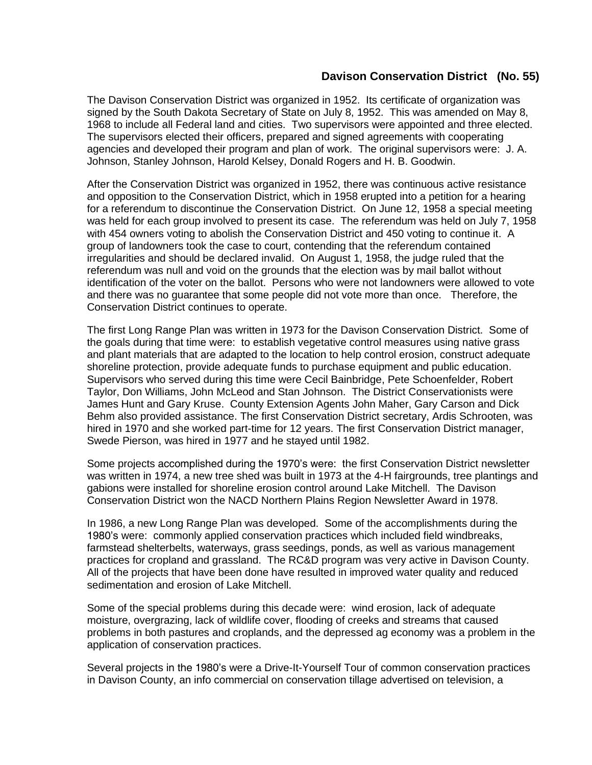## **Davison Conservation District (No. 55)**

The Davison Conservation District was organized in 1952. Its certificate of organization was signed by the South Dakota Secretary of State on July 8, 1952. This was amended on May 8, 1968 to include all Federal land and cities. Two supervisors were appointed and three elected. The supervisors elected their officers, prepared and signed agreements with cooperating agencies and developed their program and plan of work. The original supervisors were: J. A. Johnson, Stanley Johnson, Harold Kelsey, Donald Rogers and H. B. Goodwin.

After the Conservation District was organized in 1952, there was continuous active resistance and opposition to the Conservation District, which in 1958 erupted into a petition for a hearing for a referendum to discontinue the Conservation District. On June 12, 1958 a special meeting was held for each group involved to present its case. The referendum was held on July 7, 1958 with 454 owners voting to abolish the Conservation District and 450 voting to continue it. A group of landowners took the case to court, contending that the referendum contained irregularities and should be declared invalid. On August 1, 1958, the judge ruled that the referendum was null and void on the grounds that the election was by mail ballot without identification of the voter on the ballot. Persons who were not landowners were allowed to vote and there was no guarantee that some people did not vote more than once. Therefore, the Conservation District continues to operate.

The first Long Range Plan was written in 1973 for the Davison Conservation District. Some of the goals during that time were: to establish vegetative control measures using native grass and plant materials that are adapted to the location to help control erosion, construct adequate shoreline protection, provide adequate funds to purchase equipment and public education. Supervisors who served during this time were Cecil Bainbridge, Pete Schoenfelder, Robert Taylor, Don Williams, John McLeod and Stan Johnson. The District Conservationists were James Hunt and Gary Kruse. County Extension Agents John Maher, Gary Carson and Dick Behm also provided assistance. The first Conservation District secretary, Ardis Schrooten, was hired in 1970 and she worked part-time for 12 years. The first Conservation District manager, Swede Pierson, was hired in 1977 and he stayed until 1982.

Some projects accomplished during the 1970's were: the first Conservation District newsletter was written in 1974, a new tree shed was built in 1973 at the 4-H fairgrounds, tree plantings and gabions were installed for shoreline erosion control around Lake Mitchell. The Davison Conservation District won the NACD Northern Plains Region Newsletter Award in 1978.

In 1986, a new Long Range Plan was developed. Some of the accomplishments during the 1980's were: commonly applied conservation practices which included field windbreaks, farmstead shelterbelts, waterways, grass seedings, ponds, as well as various management practices for cropland and grassland. The RC&D program was very active in Davison County. All of the projects that have been done have resulted in improved water quality and reduced sedimentation and erosion of Lake Mitchell.

Some of the special problems during this decade were: wind erosion, lack of adequate moisture, overgrazing, lack of wildlife cover, flooding of creeks and streams that caused problems in both pastures and croplands, and the depressed ag economy was a problem in the application of conservation practices.

Several projects in the 1980's were a Drive-It-Yourself Tour of common conservation practices in Davison County, an info commercial on conservation tillage advertised on television, a